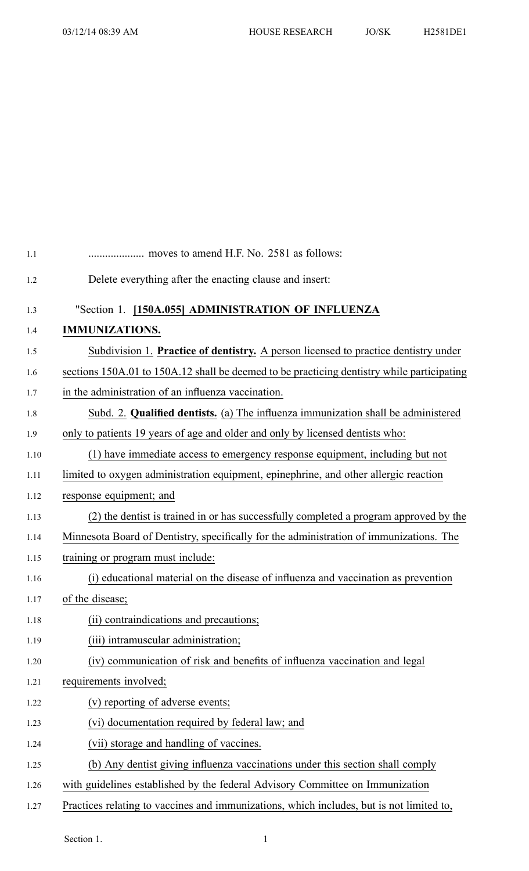| $1.1\,$ |                                                                                            |
|---------|--------------------------------------------------------------------------------------------|
| 1.2     | Delete everything after the enacting clause and insert:                                    |
| 1.3     | "Section 1. [150A.055] ADMINISTRATION OF INFLUENZA                                         |
| 1.4     | <b>IMMUNIZATIONS.</b>                                                                      |
| 1.5     | Subdivision 1. Practice of dentistry. A person licensed to practice dentistry under        |
| 1.6     | sections 150A.01 to 150A.12 shall be deemed to be practicing dentistry while participating |
| 1.7     | in the administration of an influenza vaccination.                                         |
| 1.8     | Subd. 2. Qualified dentists. (a) The influenza immunization shall be administered          |
| 1.9     | only to patients 19 years of age and older and only by licensed dentists who:              |
| 1.10    | (1) have immediate access to emergency response equipment, including but not               |
| 1.11    | limited to oxygen administration equipment, epinephrine, and other allergic reaction       |
| 1.12    | response equipment; and                                                                    |
| 1.13    | (2) the dentist is trained in or has successfully completed a program approved by the      |
| 1.14    | Minnesota Board of Dentistry, specifically for the administration of immunizations. The    |
| 1.15    | training or program must include:                                                          |
| 1.16    | (i) educational material on the disease of influenza and vaccination as prevention         |
| 1.17    | of the disease;                                                                            |
| 1.18    | (ii) contraindications and precautions;                                                    |
| 1.19    | (iii) intramuscular administration;                                                        |
| 1.20    | (iv) communication of risk and benefits of influenza vaccination and legal                 |
| 1.21    | requirements involved;                                                                     |
| 1.22    | (v) reporting of adverse events;                                                           |
| 1.23    | (vi) documentation required by federal law; and                                            |
| 1.24    | (vii) storage and handling of vaccines.                                                    |
| 1.25    | (b) Any dentist giving influenza vaccinations under this section shall comply              |
| 1.26    | with guidelines established by the federal Advisory Committee on Immunization              |
| 1.27    | Practices relating to vaccines and immunizations, which includes, but is not limited to,   |

Section 1. 1